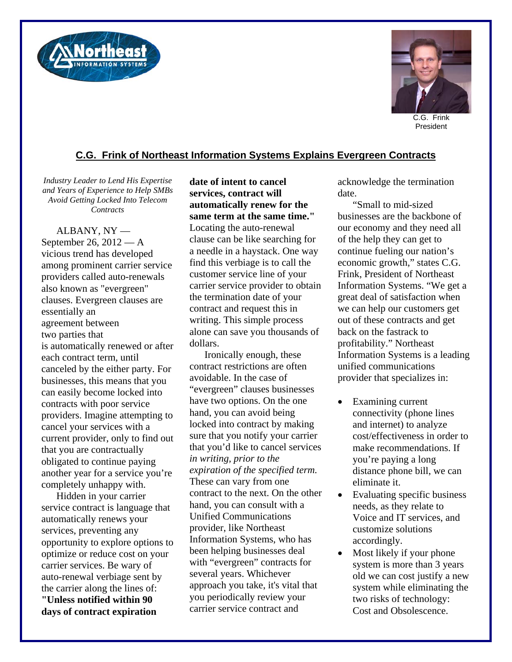



President

## **C.G. Frink of Northeast Information Systems Explains Evergreen Contracts**

*Industry Leader to Lend His Expertise and Years of Experience to Help SMBs Avoid Getting Locked Into Telecom Contracts* 

ALBANY, NY — September 26, 2012 — A vicious trend has developed among prominent carrier service providers called auto-renewals also known as "evergreen" clauses. Evergreen clauses are essentially an agreement between two parties that is automatically renewed or after each contract term, until canceled by the either party. For businesses, this means that you can easily become locked into contracts with poor service providers. Imagine attempting to cancel your services with a current provider, only to find out that you are contractually obligated to continue paying another year for a service you're completely unhappy with.

Hidden in your carrier service contract is language that automatically renews your services, preventing any opportunity to explore options to optimize or reduce cost on your carrier services. Be wary of auto-renewal verbiage sent by the carrier along the lines of: **"Unless notified within 90 days of contract expiration** 

**date of intent to cancel services, contract will automatically renew for the same term at the same time."**  Locating the auto-renewal clause can be like searching for a needle in a haystack. One way find this verbiage is to call the customer service line of your carrier service provider to obtain the termination date of your contract and request this in writing. This simple process alone can save you thousands of dollars.

Ironically enough, these contract restrictions are often avoidable. In the case of "evergreen" clauses businesses have two options. On the one hand, you can avoid being locked into contract by making sure that you notify your carrier that you'd like to cancel services *in writing, prior to the expiration of the specified term.*  These can vary from one contract to the next. On the other hand, you can consult with a Unified Communications provider, like Northeast Information Systems, who has been helping businesses deal with "evergreen" contracts for several years. Whichever approach you take, it's vital that you periodically review your carrier service contract and

acknowledge the termination date.

"Small to mid-sized businesses are the backbone of our economy and they need all of the help they can get to continue fueling our nation's economic growth," states C.G. Frink, President of Northeast Information Systems. "We get a great deal of satisfaction when we can help our customers get out of these contracts and get back on the fastrack to profitability." Northeast Information Systems is a leading unified communications provider that specializes in:

- Examining current connectivity (phone lines and internet) to analyze cost/effectiveness in order to make recommendations. If you're paying a long distance phone bill, we can eliminate it.
- Evaluating specific business needs, as they relate to Voice and IT services, and customize solutions accordingly.
- Most likely if your phone system is more than 3 years old we can cost justify a new system while eliminating the two risks of technology: Cost and Obsolescence.